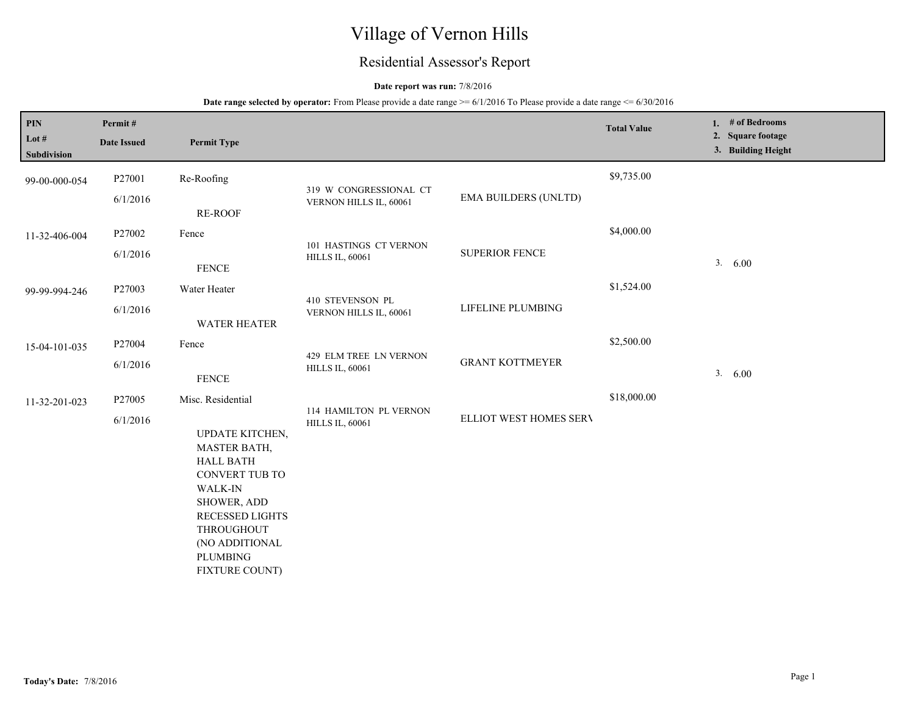# Village of Vernon Hills

## Residential Assessor's Report

### **Date report was run:** 7/8/2016

| PIN                  | Permit#            |                                                                                                                                                                                                |                                                  |                             | <b>Total Value</b> | 1. # of Bedrooms                        |
|----------------------|--------------------|------------------------------------------------------------------------------------------------------------------------------------------------------------------------------------------------|--------------------------------------------------|-----------------------------|--------------------|-----------------------------------------|
| Lot #<br>Subdivision | <b>Date Issued</b> | <b>Permit Type</b>                                                                                                                                                                             |                                                  |                             |                    | 2. Square footage<br>3. Building Height |
| 99-00-000-054        | P27001             | Re-Roofing                                                                                                                                                                                     | 319 W CONGRESSIONAL CT                           |                             | \$9,735.00         |                                         |
|                      | 6/1/2016           | RE-ROOF                                                                                                                                                                                        | VERNON HILLS IL, 60061                           | <b>EMA BUILDERS (UNLTD)</b> |                    |                                         |
| 11-32-406-004        | P27002             | Fence                                                                                                                                                                                          | 101 HASTINGS CT VERNON                           |                             | \$4,000.00         |                                         |
|                      | 6/1/2016           | <b>FENCE</b>                                                                                                                                                                                   | <b>HILLS IL, 60061</b>                           | <b>SUPERIOR FENCE</b>       |                    | 3. 6.00                                 |
| 99-99-994-246        | P27003             | Water Heater                                                                                                                                                                                   | 410 STEVENSON PL                                 |                             | \$1,524.00         |                                         |
|                      | 6/1/2016           | <b>WATER HEATER</b>                                                                                                                                                                            | VERNON HILLS IL, 60061                           | LIFELINE PLUMBING           |                    |                                         |
| 15-04-101-035        | P27004             | Fence                                                                                                                                                                                          | 429 ELM TREE LN VERNON<br><b>HILLS IL, 60061</b> | <b>GRANT KOTTMEYER</b>      | \$2,500.00         |                                         |
|                      | 6/1/2016           | <b>FENCE</b>                                                                                                                                                                                   |                                                  |                             |                    | 3. 6.00                                 |
| 11-32-201-023        | P27005             | Misc. Residential                                                                                                                                                                              | 114 HAMILTON PL VERNON                           |                             | \$18,000.00        |                                         |
|                      | 6/1/2016           | UPDATE KITCHEN,<br>MASTER BATH,<br><b>HALL BATH</b><br><b>CONVERT TUB TO</b><br>WALK-IN<br>SHOWER, ADD<br>RECESSED LIGHTS<br>THROUGHOUT<br>(NO ADDITIONAL<br><b>PLUMBING</b><br>FIXTURE COUNT) | <b>HILLS IL, 60061</b>                           | ELLIOT WEST HOMES SERV      |                    |                                         |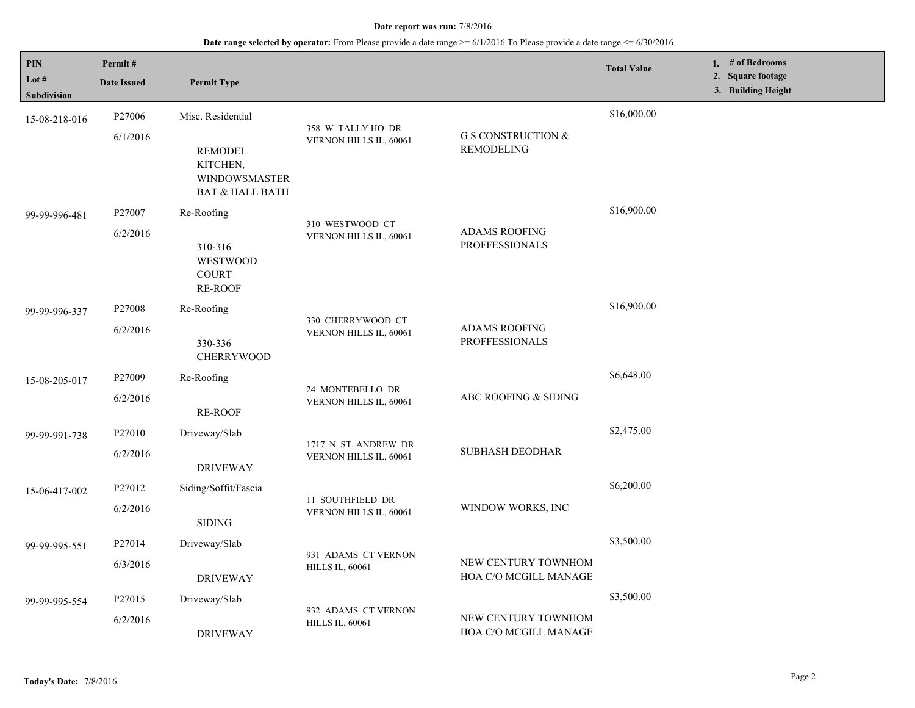| PIN<br>Lot #<br>Subdivision | Permit#<br><b>Date Issued</b> | <b>Permit Type</b>                                                               |                                               |                                                    | <b>Total Value</b> | 1. # of Bedrooms<br>2. Square footage<br>3. Building Height |
|-----------------------------|-------------------------------|----------------------------------------------------------------------------------|-----------------------------------------------|----------------------------------------------------|--------------------|-------------------------------------------------------------|
| 15-08-218-016               | P <sub>27006</sub>            | Misc. Residential                                                                |                                               |                                                    | \$16,000.00        |                                                             |
|                             | 6/1/2016                      | <b>REMODEL</b><br>KITCHEN,<br><b>WINDOWSMASTER</b><br><b>BAT &amp; HALL BATH</b> | 358 W TALLY HO DR<br>VERNON HILLS IL, 60061   | <b>G S CONSTRUCTION &amp;</b><br><b>REMODELING</b> |                    |                                                             |
| 99-99-996-481               | P27007                        | Re-Roofing                                                                       |                                               |                                                    | \$16,900.00        |                                                             |
|                             | 6/2/2016                      | 310-316<br><b>WESTWOOD</b><br><b>COURT</b><br><b>RE-ROOF</b>                     | 310 WESTWOOD CT<br>VERNON HILLS IL, 60061     | <b>ADAMS ROOFING</b><br><b>PROFFESSIONALS</b>      |                    |                                                             |
| 99-99-996-337               | P <sub>27008</sub>            | Re-Roofing                                                                       |                                               |                                                    | \$16,900.00        |                                                             |
|                             | 6/2/2016                      | 330-336<br><b>CHERRYWOOD</b>                                                     | 330 CHERRYWOOD CT<br>VERNON HILLS IL, 60061   | <b>ADAMS ROOFING</b><br><b>PROFFESSIONALS</b>      |                    |                                                             |
| 15-08-205-017               | P <sub>27009</sub>            | Re-Roofing                                                                       |                                               | ABC ROOFING & SIDING                               | \$6,648.00         |                                                             |
|                             | 6/2/2016                      | <b>RE-ROOF</b>                                                                   | 24 MONTEBELLO DR<br>VERNON HILLS IL, 60061    |                                                    |                    |                                                             |
| 99-99-991-738               | P <sub>27010</sub>            | Driveway/Slab                                                                    | 1717 N ST. ANDREW DR                          |                                                    | \$2,475.00         |                                                             |
|                             | 6/2/2016                      | <b>DRIVEWAY</b>                                                                  | VERNON HILLS IL, 60061                        | <b>SUBHASH DEODHAR</b>                             |                    |                                                             |
| 15-06-417-002               | P27012                        | Siding/Soffit/Fascia                                                             | 11 SOUTHFIELD DR                              |                                                    | \$6,200.00         |                                                             |
|                             | 6/2/2016                      | <b>SIDING</b>                                                                    | VERNON HILLS IL, 60061                        | WINDOW WORKS, INC                                  |                    |                                                             |
| 99-99-995-551               | P27014                        | Driveway/Slab                                                                    | 931 ADAMS CT VERNON                           |                                                    | \$3,500.00         |                                                             |
|                             | 6/3/2016                      | <b>DRIVEWAY</b>                                                                  | <b>HILLS IL, 60061</b>                        | NEW CENTURY TOWNHOM<br>HOA C/O MCGILL MANAGE       |                    |                                                             |
| 99-99-995-554               | P27015                        | Driveway/Slab                                                                    |                                               |                                                    | \$3,500.00         |                                                             |
|                             | 6/2/2016                      | <b>DRIVEWAY</b>                                                                  | 932 ADAMS CT VERNON<br><b>HILLS IL, 60061</b> | NEW CENTURY TOWNHOM<br>HOA C/O MCGILL MANAGE       |                    |                                                             |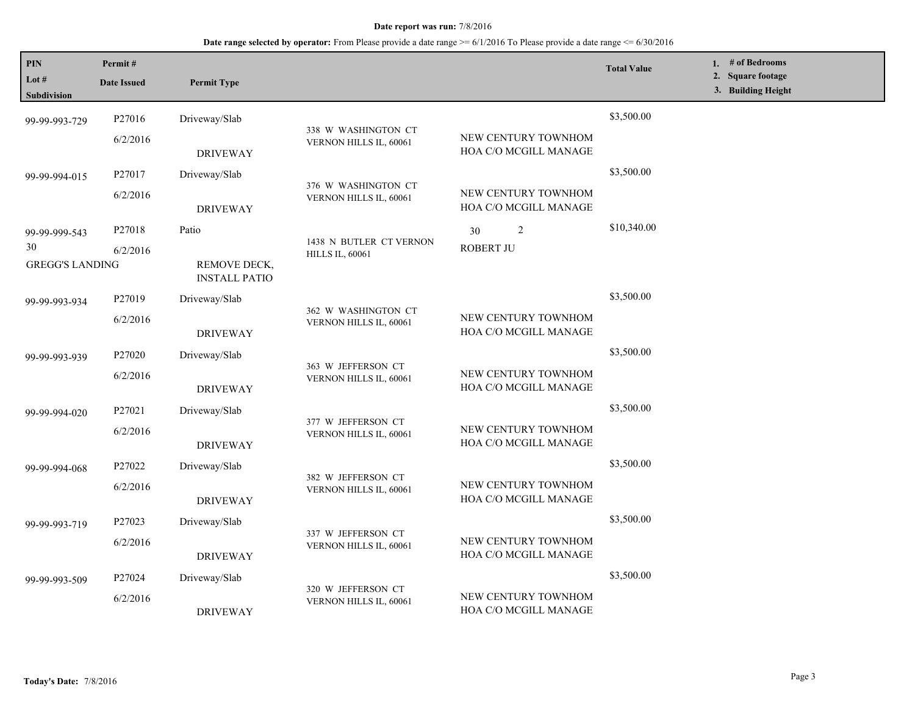**Date range selected by operator:** From Please provide a date range >= 6/1/2016 To Please provide a date range <= 6/30/2016

| PIN<br>Lot #<br><b>Subdivision</b> | Permit#<br><b>Date Issued</b> | <b>Permit Type</b>                   |                                                   |                                              | <b>Total Value</b> | 1. # of Bedrooms<br>2. Square footage<br>3. Building Height |
|------------------------------------|-------------------------------|--------------------------------------|---------------------------------------------------|----------------------------------------------|--------------------|-------------------------------------------------------------|
| 99-99-993-729                      | P27016                        | Driveway/Slab                        |                                                   |                                              | \$3,500.00         |                                                             |
|                                    | 6/2/2016                      | <b>DRIVEWAY</b>                      | 338 W WASHINGTON CT<br>VERNON HILLS IL, 60061     | NEW CENTURY TOWNHOM<br>HOA C/O MCGILL MANAGE |                    |                                                             |
| 99-99-994-015                      | P27017                        | Driveway/Slab                        |                                                   |                                              | \$3,500.00         |                                                             |
|                                    | 6/2/2016                      | <b>DRIVEWAY</b>                      | 376 W WASHINGTON CT<br>VERNON HILLS IL, 60061     | NEW CENTURY TOWNHOM<br>HOA C/O MCGILL MANAGE |                    |                                                             |
| 99-99-999-543                      | P27018                        | Patio                                |                                                   | 2<br>30                                      | \$10,340.00        |                                                             |
| 30<br><b>GREGG'S LANDING</b>       | 6/2/2016                      | REMOVE DECK,<br><b>INSTALL PATIO</b> | 1438 N BUTLER CT VERNON<br><b>HILLS IL, 60061</b> | <b>ROBERT JU</b>                             |                    |                                                             |
| 99-99-993-934                      | P <sub>27019</sub>            | Driveway/Slab                        |                                                   |                                              | \$3,500.00         |                                                             |
|                                    | 6/2/2016                      | <b>DRIVEWAY</b>                      | 362 W WASHINGTON CT<br>VERNON HILLS IL, 60061     | NEW CENTURY TOWNHOM<br>HOA C/O MCGILL MANAGE |                    |                                                             |
| 99-99-993-939                      | P27020                        | Driveway/Slab                        | 363 W JEFFERSON CT<br>VERNON HILLS IL, 60061      |                                              | \$3,500.00         |                                                             |
|                                    | 6/2/2016                      | <b>DRIVEWAY</b>                      |                                                   | NEW CENTURY TOWNHOM<br>HOA C/O MCGILL MANAGE |                    |                                                             |
| 99-99-994-020                      | P27021                        | Driveway/Slab                        |                                                   |                                              | \$3,500.00         |                                                             |
|                                    | 6/2/2016                      | <b>DRIVEWAY</b>                      | 377 W JEFFERSON CT<br>VERNON HILLS IL, 60061      | NEW CENTURY TOWNHOM<br>HOA C/O MCGILL MANAGE |                    |                                                             |
| 99-99-994-068                      | P27022                        | Driveway/Slab                        |                                                   |                                              | \$3,500.00         |                                                             |
|                                    | 6/2/2016                      | <b>DRIVEWAY</b>                      | 382 W JEFFERSON CT<br>VERNON HILLS IL, 60061      | NEW CENTURY TOWNHOM<br>HOA C/O MCGILL MANAGE |                    |                                                             |
| 99-99-993-719                      | P27023                        | Driveway/Slab                        |                                                   |                                              | \$3,500.00         |                                                             |
|                                    | 6/2/2016                      | <b>DRIVEWAY</b>                      | 337 W JEFFERSON CT<br>VERNON HILLS IL, 60061      | NEW CENTURY TOWNHOM<br>HOA C/O MCGILL MANAGE |                    |                                                             |
| 99-99-993-509                      | P27024                        | Driveway/Slab                        |                                                   |                                              | \$3,500.00         |                                                             |
|                                    | 6/2/2016                      | <b>DRIVEWAY</b>                      | 320 W JEFFERSON CT<br>VERNON HILLS IL, 60061      | NEW CENTURY TOWNHOM<br>HOA C/O MCGILL MANAGE |                    |                                                             |

L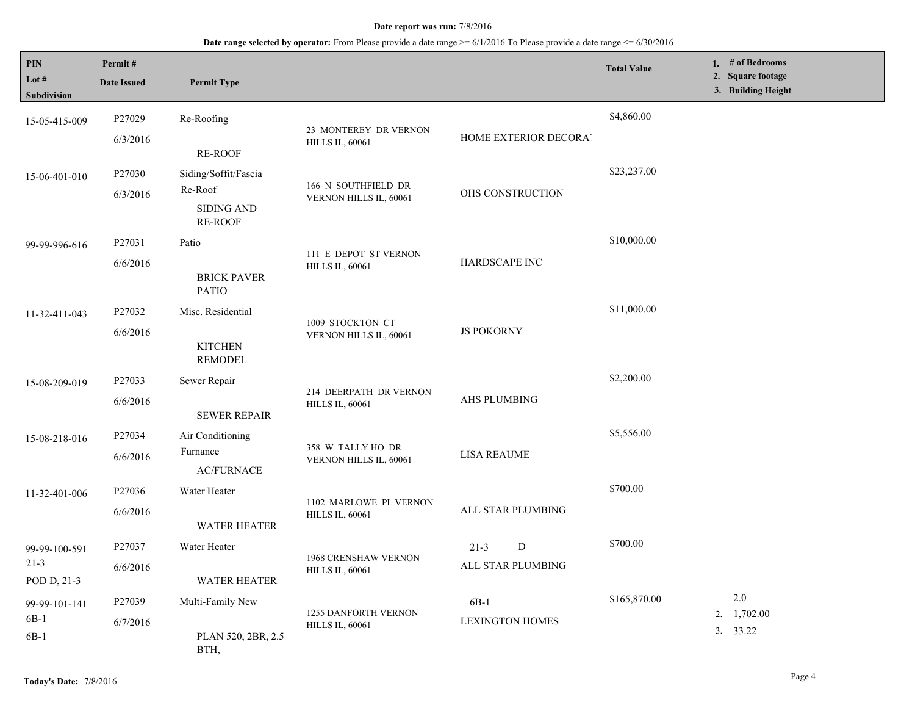| PIN<br>Lot #<br>Subdivision              | Permit#<br><b>Date Issued</b> | <b>Permit Type</b>                                                     |                                                  |                                    | <b>Total Value</b> | 1. # of Bedrooms<br>2. Square footage<br>3. Building Height |
|------------------------------------------|-------------------------------|------------------------------------------------------------------------|--------------------------------------------------|------------------------------------|--------------------|-------------------------------------------------------------|
| 15-05-415-009                            | P27029<br>6/3/2016            | Re-Roofing<br><b>RE-ROOF</b>                                           | 23 MONTEREY DR VERNON<br><b>HILLS IL, 60061</b>  | HOME EXTERIOR DECORAT              | \$4,860.00         |                                                             |
| 15-06-401-010                            | P27030<br>6/3/2016            | Siding/Soffit/Fascia<br>Re-Roof<br><b>SIDING AND</b><br><b>RE-ROOF</b> | 166 N SOUTHFIELD DR<br>VERNON HILLS IL, 60061    | OHS CONSTRUCTION                   | \$23,237.00        |                                                             |
| 99-99-996-616                            | P27031<br>6/6/2016            | Patio<br><b>BRICK PAVER</b><br><b>PATIO</b>                            | 111 E DEPOT ST VERNON<br><b>HILLS IL, 60061</b>  | HARDSCAPE INC                      | \$10,000.00        |                                                             |
| 11-32-411-043                            | P27032<br>6/6/2016            | Misc. Residential<br><b>KITCHEN</b><br><b>REMODEL</b>                  | 1009 STOCKTON CT<br>VERNON HILLS IL, 60061       | <b>JS POKORNY</b>                  | \$11,000.00        |                                                             |
| 15-08-209-019                            | P27033<br>6/6/2016            | Sewer Repair<br><b>SEWER REPAIR</b>                                    | 214 DEERPATH DR VERNON<br><b>HILLS IL, 60061</b> | AHS PLUMBING                       | \$2,200.00         |                                                             |
| 15-08-218-016                            | P27034<br>6/6/2016            | Air Conditioning<br>Furnance<br><b>AC/FURNACE</b>                      | 358 W TALLY HO DR<br>VERNON HILLS IL, 60061      | <b>LISA REAUME</b>                 | \$5,556.00         |                                                             |
| 11-32-401-006                            | P27036<br>6/6/2016            | Water Heater<br><b>WATER HEATER</b>                                    | 1102 MARLOWE PL VERNON<br><b>HILLS IL, 60061</b> | ALL STAR PLUMBING                  | \$700.00           |                                                             |
| 99-99-100-591<br>$21 - 3$<br>POD D, 21-3 | P27037<br>6/6/2016            | Water Heater<br><b>WATER HEATER</b>                                    | 1968 CRENSHAW VERNON<br><b>HILLS IL, 60061</b>   | D<br>$21 - 3$<br>ALL STAR PLUMBING | \$700.00           |                                                             |
| 99-99-101-141<br>$6B-1$<br>$6B-1$        | P27039<br>6/7/2016            | Multi-Family New<br>PLAN 520, 2BR, 2.5<br>BTH,                         | 1255 DANFORTH VERNON<br><b>HILLS IL, 60061</b>   | $6B-1$<br><b>LEXINGTON HOMES</b>   | \$165,870.00       | $2.0\,$<br>$2. \quad 1,702.00$<br>3. 33.22                  |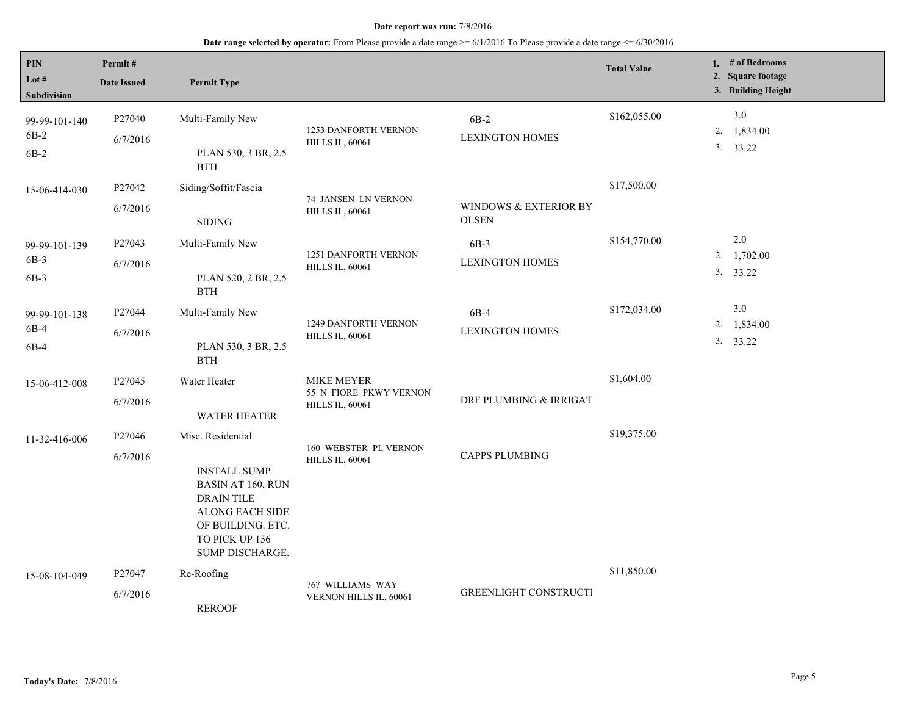| PIN<br>Lot #<br>Subdivision       | Permit#<br><b>Date Issued</b> | <b>Permit Type</b>                                                                                                                                                     |                                                                       |                                       | <b>Total Value</b> |    | 1. $#$ of Bedrooms<br>2. Square footage<br>3. Building Height |
|-----------------------------------|-------------------------------|------------------------------------------------------------------------------------------------------------------------------------------------------------------------|-----------------------------------------------------------------------|---------------------------------------|--------------------|----|---------------------------------------------------------------|
| 99-99-101-140<br>$6B-2$<br>$6B-2$ | P27040<br>6/7/2016            | Multi-Family New<br>PLAN 530, 3 BR, 2.5<br>$\operatorname{BTH}$                                                                                                        | <b>1253 DANFORTH VERNON</b><br><b>HILLS IL, 60061</b>                 | $6B-2$<br><b>LEXINGTON HOMES</b>      | \$162,055.00       |    | $3.0\,$<br>2. 1,834.00<br>3. 33.22                            |
| 15-06-414-030                     | P27042<br>6/7/2016            | Siding/Soffit/Fascia<br><b>SIDING</b>                                                                                                                                  | 74 JANSEN LN VERNON<br><b>HILLS IL, 60061</b>                         | WINDOWS & EXTERIOR BY<br><b>OLSEN</b> | \$17,500.00        |    |                                                               |
| 99-99-101-139<br>6B-3<br>$6B-3$   | P27043<br>6/7/2016            | Multi-Family New<br>PLAN 520, 2 BR, 2.5<br>$\operatorname{BTH}$                                                                                                        | 1251 DANFORTH VERNON<br><b>HILLS IL, 60061</b>                        | $6B-3$<br><b>LEXINGTON HOMES</b>      | \$154,770.00       |    | 2.0<br>2. 1,702.00<br>3. 33.22                                |
| 99-99-101-138<br>6B-4<br>$6B-4$   | P27044<br>6/7/2016            | Multi-Family New<br>PLAN 530, 3 BR, 2.5<br>$\operatorname{BTH}$                                                                                                        | <b>1249 DANFORTH VERNON</b><br><b>HILLS IL, 60061</b>                 | 6B-4<br><b>LEXINGTON HOMES</b>        | \$172,034.00       | 2. | 3.0<br>1,834.00<br>3. 33.22                                   |
| 15-06-412-008                     | P27045<br>6/7/2016            | Water Heater<br><b>WATER HEATER</b>                                                                                                                                    | <b>MIKE MEYER</b><br>55 N FIORE PKWY VERNON<br><b>HILLS IL, 60061</b> | DRF PLUMBING & IRRIGAT                | \$1,604.00         |    |                                                               |
| 11-32-416-006                     | P27046<br>6/7/2016            | Misc. Residential<br><b>INSTALL SUMP</b><br><b>BASIN AT 160, RUN</b><br><b>DRAIN TILE</b><br>ALONG EACH SIDE<br>OF BUILDING. ETC.<br>TO PICK UP 156<br>SUMP DISCHARGE. | 160 WEBSTER PL VERNON<br><b>HILLS IL, 60061</b>                       | <b>CAPPS PLUMBING</b>                 | \$19,375.00        |    |                                                               |
| 15-08-104-049                     | P27047<br>6/7/2016            | Re-Roofing<br><b>REROOF</b>                                                                                                                                            | 767 WILLIAMS WAY<br>VERNON HILLS IL, 60061                            | <b>GREENLIGHT CONSTRUCTI</b>          | \$11,850.00        |    |                                                               |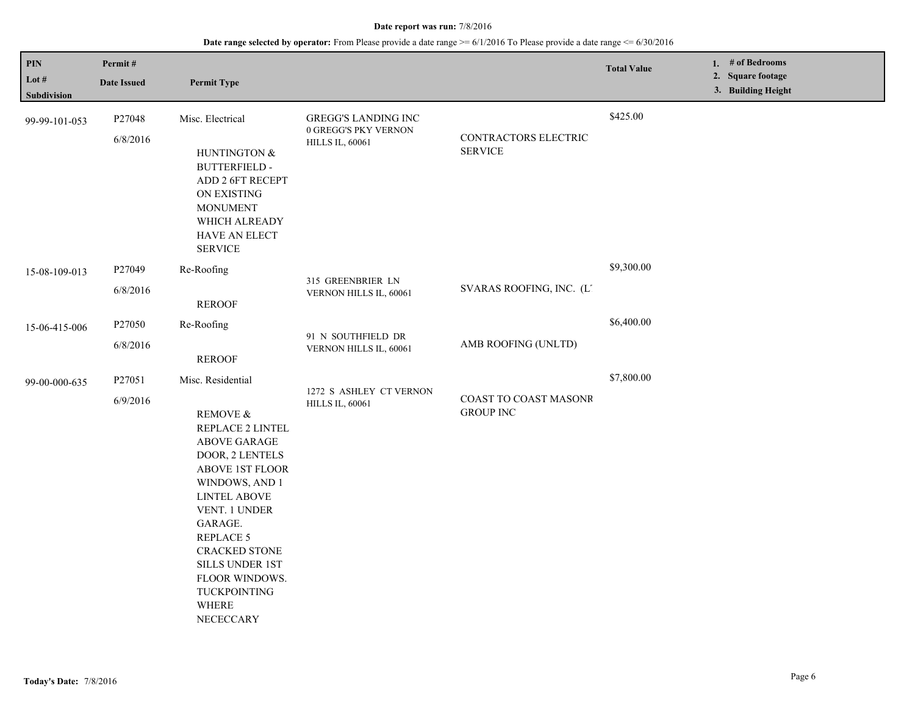| PIN           | Permit#            |                                                                                                                                                                                                                                                                                       |                                                                         |                                           | <b>Total Value</b> | 1. # of Bedrooms                        |
|---------------|--------------------|---------------------------------------------------------------------------------------------------------------------------------------------------------------------------------------------------------------------------------------------------------------------------------------|-------------------------------------------------------------------------|-------------------------------------------|--------------------|-----------------------------------------|
| Lot #         | <b>Date Issued</b> | <b>Permit Type</b>                                                                                                                                                                                                                                                                    |                                                                         |                                           |                    | 2. Square footage<br>3. Building Height |
| Subdivision   |                    |                                                                                                                                                                                                                                                                                       |                                                                         |                                           |                    |                                         |
| 99-99-101-053 | P27048             | Misc. Electrical                                                                                                                                                                                                                                                                      | GREGG'S LANDING INC<br>0 GREGG'S PKY VERNON                             |                                           | \$425.00           |                                         |
|               | 6/8/2016           | HUNTINGTON &<br><b>BUTTERFIELD -</b><br>ADD 2 6FT RECEPT<br>ON EXISTING<br><b>MONUMENT</b><br>WHICH ALREADY<br>HAVE AN ELECT<br><b>SERVICE</b>                                                                                                                                        | <b>HILLS IL, 60061</b>                                                  | CONTRACTORS ELECTRIC<br><b>SERVICE</b>    |                    |                                         |
| 15-08-109-013 | P27049             | Re-Roofing                                                                                                                                                                                                                                                                            | 315 GREENBRIER LN<br>SVARAS ROOFING, INC. (L.<br>VERNON HILLS IL, 60061 | \$9,300.00                                |                    |                                         |
|               | 6/8/2016           | <b>REROOF</b>                                                                                                                                                                                                                                                                         |                                                                         |                                           |                    |                                         |
| 15-06-415-006 | P27050             | Re-Roofing                                                                                                                                                                                                                                                                            |                                                                         | AMB ROOFING (UNLTD)                       | \$6,400.00         |                                         |
|               | 6/8/2016           | <b>REROOF</b>                                                                                                                                                                                                                                                                         | 91 N SOUTHFIELD DR<br>VERNON HILLS IL, 60061                            |                                           |                    |                                         |
| 99-00-000-635 | P27051             | Misc. Residential                                                                                                                                                                                                                                                                     |                                                                         |                                           | \$7,800.00         |                                         |
|               | 6/9/2016           | REMOVE &<br>REPLACE 2 LINTEL<br>ABOVE GARAGE<br>DOOR, 2 LENTELS<br><b>ABOVE 1ST FLOOR</b><br>WINDOWS, AND 1<br><b>LINTEL ABOVE</b><br>VENT. 1 UNDER<br>GARAGE.<br><b>REPLACE 5</b><br><b>CRACKED STONE</b><br>SILLS UNDER 1ST<br>FLOOR WINDOWS.<br>TUCKPOINTING<br>WHERE<br>NECECCARY | 1272 S ASHLEY CT VERNON<br><b>HILLS IL, 60061</b>                       | COAST TO COAST MASONR<br><b>GROUP INC</b> |                    |                                         |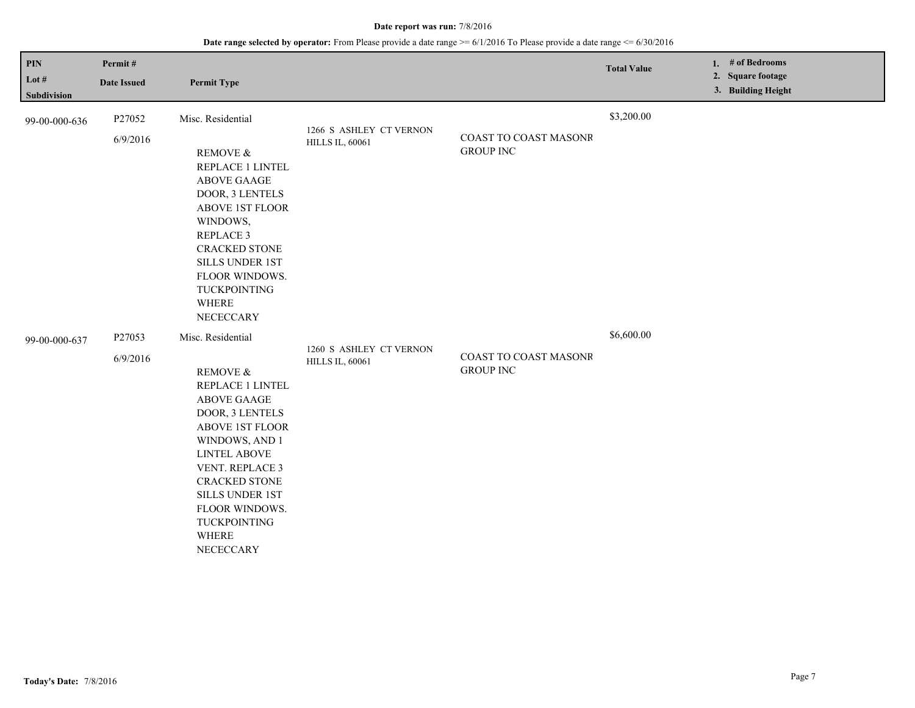| $\mathbf{PIN}$<br>Lot $#$                                                                            | Permit#                                                                                                                           |                                                                                                                                                                                                                                                                                                       |                                                   |                                           | <b>Total Value</b> | # of Bedrooms<br>1.<br>2. Square footage |
|------------------------------------------------------------------------------------------------------|-----------------------------------------------------------------------------------------------------------------------------------|-------------------------------------------------------------------------------------------------------------------------------------------------------------------------------------------------------------------------------------------------------------------------------------------------------|---------------------------------------------------|-------------------------------------------|--------------------|------------------------------------------|
| Subdivision                                                                                          | <b>Date Issued</b>                                                                                                                | <b>Permit Type</b>                                                                                                                                                                                                                                                                                    |                                                   |                                           |                    | 3. Building Height                       |
| 99-00-000-636                                                                                        | P27052<br>6/9/2016                                                                                                                | Misc. Residential                                                                                                                                                                                                                                                                                     | 1266 S ASHLEY CT VERNON<br><b>HILLS IL, 60061</b> | COAST TO COAST MASONR                     | \$3,200.00         |                                          |
| REMOVE &<br><b>ABOVE GAAGE</b><br>WINDOWS,<br><b>REPLACE 3</b><br>TUCKPOINTING<br>WHERE<br>NECECCARY | REPLACE 1 LINTEL<br>DOOR, 3 LENTELS<br><b>ABOVE 1ST FLOOR</b><br><b>CRACKED STONE</b><br><b>SILLS UNDER 1ST</b><br>FLOOR WINDOWS. |                                                                                                                                                                                                                                                                                                       | <b>GROUP INC</b>                                  |                                           |                    |                                          |
| 99-00-000-637                                                                                        | P27053<br>6/9/2016                                                                                                                | Misc. Residential<br><b>REMOVE &amp;</b><br>REPLACE 1 LINTEL<br><b>ABOVE GAAGE</b><br>DOOR, 3 LENTELS<br><b>ABOVE 1ST FLOOR</b><br>WINDOWS, AND 1<br><b>LINTEL ABOVE</b><br>VENT. REPLACE 3<br><b>CRACKED STONE</b><br><b>SILLS UNDER 1ST</b><br>FLOOR WINDOWS.<br>TUCKPOINTING<br>WHERE<br>NECECCARY | 1260 S ASHLEY CT VERNON<br><b>HILLS IL, 60061</b> | COAST TO COAST MASONR<br><b>GROUP INC</b> | \$6,600.00         |                                          |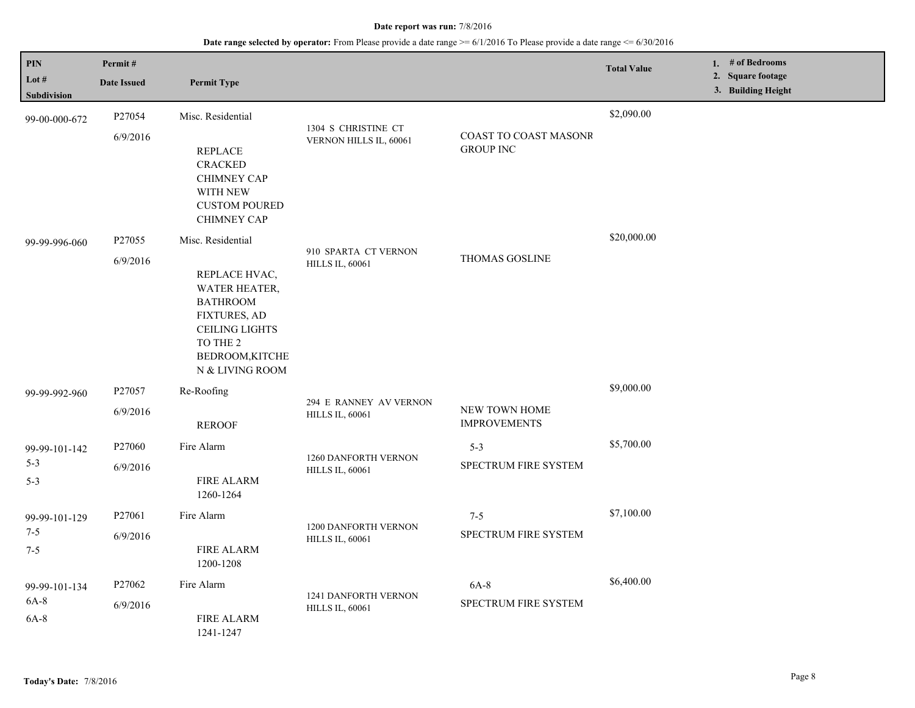| PIN<br>Lot #                        | Permit#<br><b>Date Issued</b> | <b>Permit Type</b>                                                                                                                                                                                    |                                                  |                                           | <b>Total Value</b> | 1. # of Bedrooms<br>2. Square footage<br>3. Building Height |
|-------------------------------------|-------------------------------|-------------------------------------------------------------------------------------------------------------------------------------------------------------------------------------------------------|--------------------------------------------------|-------------------------------------------|--------------------|-------------------------------------------------------------|
| Subdivision<br>99-00-000-672        | P27054<br>6/9/2016            | Misc. Residential<br><b>REPLACE</b><br><b>CRACKED</b><br><b>CHIMNEY CAP</b><br>WITH NEW<br><b>CUSTOM POURED</b>                                                                                       | 1304 S CHRISTINE CT<br>VERNON HILLS IL, 60061    | COAST TO COAST MASONR<br><b>GROUP INC</b> | \$2,090.00         |                                                             |
| 99-99-996-060                       | P27055<br>6/9/2016            | <b>CHIMNEY CAP</b><br>Misc. Residential<br>REPLACE HVAC,<br><b>WATER HEATER,</b><br><b>BATHROOM</b><br><b>FIXTURES, AD</b><br><b>CEILING LIGHTS</b><br>TO THE 2<br>BEDROOM, KITCHE<br>N & LIVING ROOM | 910 SPARTA CT VERNON<br><b>HILLS IL, 60061</b>   | <b>THOMAS GOSLINE</b>                     | \$20,000.00        |                                                             |
| 99-99-992-960                       | P27057<br>6/9/2016            | Re-Roofing<br><b>REROOF</b>                                                                                                                                                                           | 294 E RANNEY AV VERNON<br><b>HILLS IL, 60061</b> | NEW TOWN HOME<br><b>IMPROVEMENTS</b>      | \$9,000.00         |                                                             |
| 99-99-101-142<br>$5 - 3$<br>$5 - 3$ | P27060<br>6/9/2016            | Fire Alarm<br><b>FIRE ALARM</b><br>1260-1264                                                                                                                                                          | 1260 DANFORTH VERNON<br><b>HILLS IL, 60061</b>   | $5 - 3$<br>SPECTRUM FIRE SYSTEM           | \$5,700.00         |                                                             |
| 99-99-101-129<br>$7 - 5$<br>$7 - 5$ | P27061<br>6/9/2016            | Fire Alarm<br><b>FIRE ALARM</b><br>1200-1208                                                                                                                                                          | 1200 DANFORTH VERNON<br><b>HILLS IL, 60061</b>   | $7 - 5$<br>SPECTRUM FIRE SYSTEM           | \$7,100.00         |                                                             |
| 99-99-101-134<br>$6A-8$<br>6A-8     | P27062<br>6/9/2016            | Fire Alarm<br><b>FIRE ALARM</b><br>1241-1247                                                                                                                                                          | 1241 DANFORTH VERNON<br><b>HILLS IL, 60061</b>   | $6A-8$<br>SPECTRUM FIRE SYSTEM            | \$6,400.00         |                                                             |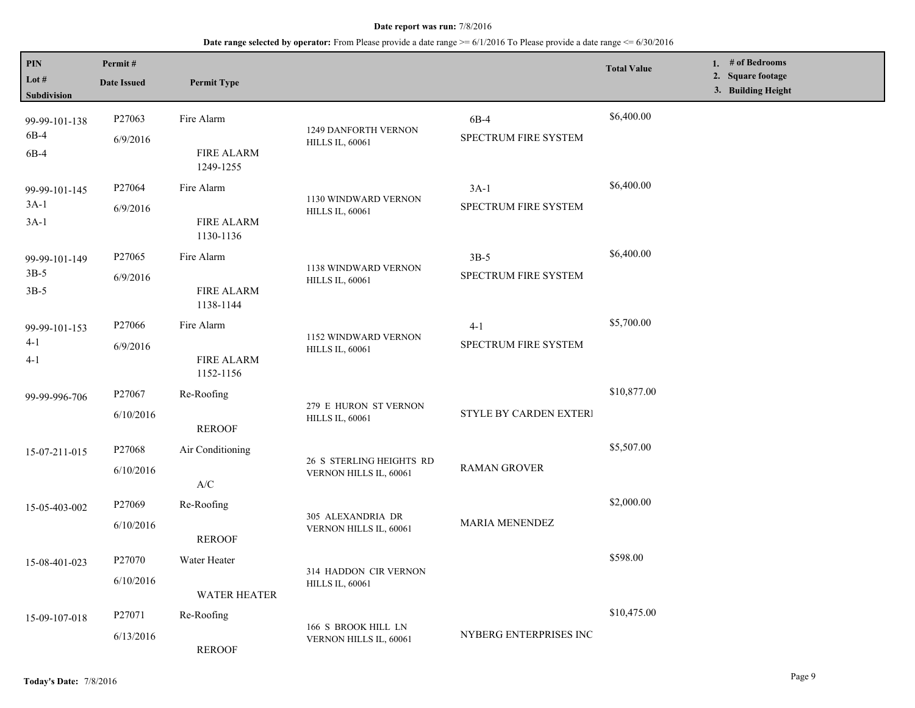**Date range selected by operator:** From Please provide a date range >= 6/1/2016 To Please provide a date range <= 6/30/2016

| PIN<br>Lot $#$<br>Subdivision     | Permit#<br><b>Date Issued</b>   | <b>Permit Type</b>                           |                                                    |                                 | <b>Total Value</b> | 1. # of Bedrooms<br>2. Square footage<br>3. Building Height |
|-----------------------------------|---------------------------------|----------------------------------------------|----------------------------------------------------|---------------------------------|--------------------|-------------------------------------------------------------|
| 99-99-101-138<br>6B-4<br>6B-4     | P27063<br>6/9/2016              | Fire Alarm<br><b>FIRE ALARM</b><br>1249-1255 | 1249 DANFORTH VERNON<br><b>HILLS IL, 60061</b>     | 6B-4<br>SPECTRUM FIRE SYSTEM    | \$6,400.00         |                                                             |
| 99-99-101-145<br>$3A-1$<br>$3A-1$ | P27064<br>6/9/2016              | Fire Alarm<br><b>FIRE ALARM</b><br>1130-1136 | 1130 WINDWARD VERNON<br><b>HILLS IL, 60061</b>     | $3A-1$<br>SPECTRUM FIRE SYSTEM  | \$6,400.00         |                                                             |
| 99-99-101-149<br>$3B-5$<br>$3B-5$ | P <sub>27065</sub><br>6/9/2016  | Fire Alarm<br><b>FIRE ALARM</b><br>1138-1144 | 1138 WINDWARD VERNON<br><b>HILLS IL, 60061</b>     | $3B-5$<br>SPECTRUM FIRE SYSTEM  | \$6,400.00         |                                                             |
| 99-99-101-153<br>$4-1$<br>$4 - 1$ | P27066<br>6/9/2016              | Fire Alarm<br><b>FIRE ALARM</b><br>1152-1156 | 1152 WINDWARD VERNON<br><b>HILLS IL, 60061</b>     | $4 - 1$<br>SPECTRUM FIRE SYSTEM | \$5,700.00         |                                                             |
| 99-99-996-706                     | P <sub>27067</sub><br>6/10/2016 | Re-Roofing<br><b>REROOF</b>                  | 279 E HURON ST VERNON<br><b>HILLS IL, 60061</b>    | STYLE BY CARDEN EXTERI          | \$10,877.00        |                                                             |
| 15-07-211-015                     | P <sub>27068</sub><br>6/10/2016 | Air Conditioning<br>$\mathbf{A}/\mathbf{C}$  | 26 S STERLING HEIGHTS RD<br>VERNON HILLS IL, 60061 | <b>RAMAN GROVER</b>             | \$5,507.00         |                                                             |
| 15-05-403-002                     | P27069<br>6/10/2016             | Re-Roofing<br><b>REROOF</b>                  | 305 ALEXANDRIA DR<br>VERNON HILLS IL, 60061        | <b>MARIA MENENDEZ</b>           | \$2,000.00         |                                                             |
| 15-08-401-023                     | P <sub>27070</sub><br>6/10/2016 | Water Heater<br><b>WATER HEATER</b>          | 314 HADDON CIR VERNON<br><b>HILLS IL, 60061</b>    |                                 | \$598.00           |                                                             |
| 15-09-107-018                     | P27071<br>6/13/2016             | Re-Roofing<br><b>REROOF</b>                  | 166 S BROOK HILL LN<br>VERNON HILLS IL, 60061      | NYBERG ENTERPRISES INC          | \$10,475.00        |                                                             |

L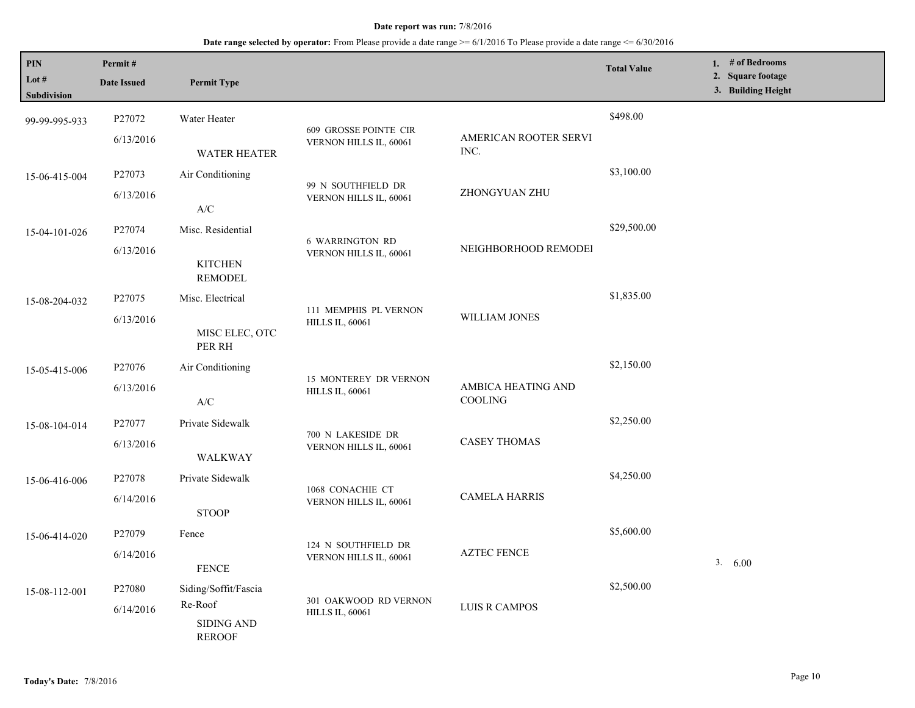| <b>PIN</b><br>Lot $#$<br>Subdivision | Permit#<br><b>Date Issued</b> | <b>Permit Type</b>                                                                  |                                                  |                               | <b>Total Value</b> | 1. # of Bedrooms<br>2. Square footage<br>3. Building Height |
|--------------------------------------|-------------------------------|-------------------------------------------------------------------------------------|--------------------------------------------------|-------------------------------|--------------------|-------------------------------------------------------------|
| 99-99-995-933                        | P27072<br>6/13/2016           | Water Heater<br><b>WATER HEATER</b>                                                 | 609 GROSSE POINTE CIR<br>VERNON HILLS IL, 60061  | AMERICAN ROOTER SERVI<br>INC. | \$498.00           |                                                             |
| 15-06-415-004                        | P27073<br>6/13/2016           | Air Conditioning<br>$\ensuremath{\text{A}}\xspace/\ensuremath{\text{C}}\xspace$     | 99 N SOUTHFIELD DR<br>VERNON HILLS IL, 60061     | ZHONGYUAN ZHU                 | \$3,100.00         |                                                             |
| 15-04-101-026                        | P27074<br>6/13/2016           | Misc. Residential<br><b>KITCHEN</b><br><b>REMODEL</b>                               | <b>6 WARRINGTON RD</b><br>VERNON HILLS IL, 60061 | NEIGHBORHOOD REMODEI          | \$29,500.00        |                                                             |
| 15-08-204-032                        | P27075<br>6/13/2016           | Misc. Electrical<br>MISC ELEC, OTC<br>PER RH                                        | 111 MEMPHIS PL VERNON<br><b>HILLS IL, 60061</b>  | WILLIAM JONES                 | \$1,835.00         |                                                             |
| 15-05-415-006                        | P27076<br>6/13/2016           | Air Conditioning<br>$\ensuremath{\mathsf{A}}\xspace/\ensuremath{\mathsf{C}}\xspace$ | 15 MONTEREY DR VERNON<br><b>HILLS IL, 60061</b>  | AMBICA HEATING AND<br>COOLING | \$2,150.00         |                                                             |
| 15-08-104-014                        | P27077<br>6/13/2016           | Private Sidewalk<br>WALKWAY                                                         | 700 N LAKESIDE DR<br>VERNON HILLS IL, 60061      | <b>CASEY THOMAS</b>           | \$2,250.00         |                                                             |
| 15-06-416-006                        | P27078<br>6/14/2016           | Private Sidewalk<br><b>STOOP</b>                                                    | 1068 CONACHIE CT<br>VERNON HILLS IL, 60061       | <b>CAMELA HARRIS</b>          | \$4,250.00         |                                                             |
| 15-06-414-020                        | P27079<br>6/14/2016           | Fence<br><b>FENCE</b>                                                               | 124 N SOUTHFIELD DR<br>VERNON HILLS IL, 60061    | <b>AZTEC FENCE</b>            | \$5,600.00         | 3. 6.00                                                     |
| 15-08-112-001                        | P27080<br>6/14/2016           | Siding/Soffit/Fascia<br>Re-Roof<br><b>SIDING AND</b><br><b>REROOF</b>               | 301 OAKWOOD RD VERNON<br><b>HILLS IL, 60061</b>  | <b>LUIS R CAMPOS</b>          | \$2,500.00         |                                                             |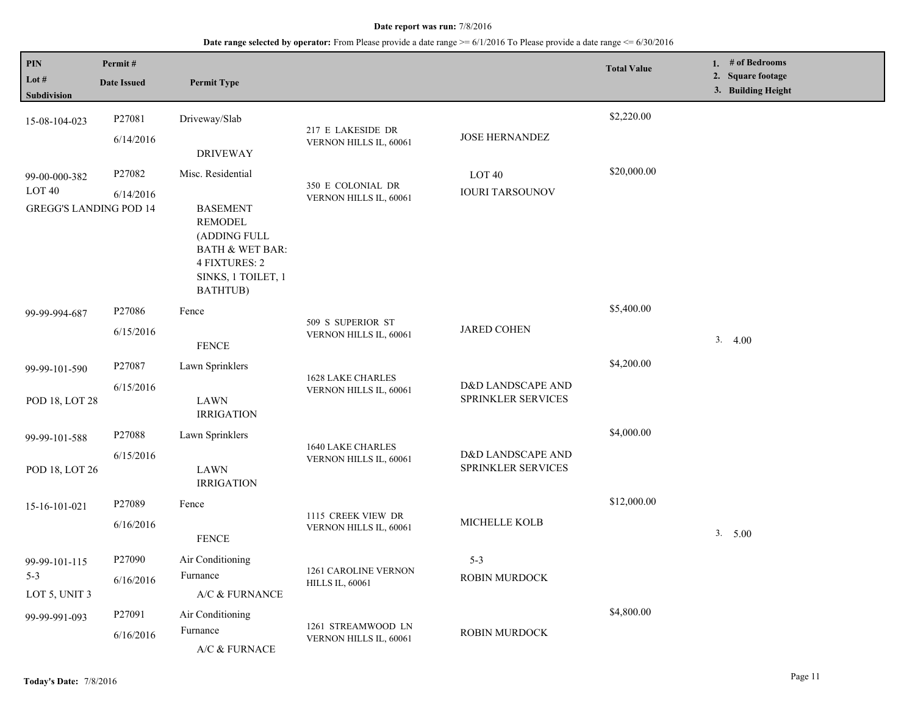| PIN<br>Lot $#$<br>Subdivision                                       | Permit#<br><b>Date Issued</b> | <b>Permit Type</b>                                                                                                                                      |                                                |                                         | <b>Total Value</b> | 1. # of Bedrooms<br>2. Square footage<br>3. Building Height |
|---------------------------------------------------------------------|-------------------------------|---------------------------------------------------------------------------------------------------------------------------------------------------------|------------------------------------------------|-----------------------------------------|--------------------|-------------------------------------------------------------|
| 15-08-104-023                                                       | P27081<br>6/14/2016           | Driveway/Slab<br><b>DRIVEWAY</b>                                                                                                                        | 217 E LAKESIDE DR<br>VERNON HILLS IL, 60061    | <b>JOSE HERNANDEZ</b>                   | \$2,220.00         |                                                             |
| 99-00-000-382<br>LOT <sub>40</sub><br><b>GREGG'S LANDING POD 14</b> | P27082<br>6/14/2016           | Misc. Residential<br><b>BASEMENT</b><br>REMODEL<br>(ADDING FULL<br><b>BATH &amp; WET BAR:</b><br><b>4 FIXTURES: 2</b><br>SINKS, 1 TOILET, 1<br>BATHTUB) | 350 E COLONIAL DR<br>VERNON HILLS IL, 60061    | LOT 40<br><b>IOURI TARSOUNOV</b>        | \$20,000.00        |                                                             |
| 99-99-994-687                                                       | P27086<br>6/15/2016           | Fence<br><b>FENCE</b>                                                                                                                                   | 509 S SUPERIOR ST<br>VERNON HILLS IL, 60061    | <b>JARED COHEN</b>                      | \$5,400.00         | 3.4.00                                                      |
| 99-99-101-590<br>POD 18, LOT 28                                     | P27087<br>6/15/2016           | Lawn Sprinklers<br><b>LAWN</b><br><b>IRRIGATION</b>                                                                                                     | 1628 LAKE CHARLES<br>VERNON HILLS IL, 60061    | D&D LANDSCAPE AND<br>SPRINKLER SERVICES | \$4,200.00         |                                                             |
| 99-99-101-588<br>POD 18, LOT 26                                     | P27088<br>6/15/2016           | Lawn Sprinklers<br>LAWN<br><b>IRRIGATION</b>                                                                                                            | 1640 LAKE CHARLES<br>VERNON HILLS IL, 60061    | D&D LANDSCAPE AND<br>SPRINKLER SERVICES | \$4,000.00         |                                                             |
| 15-16-101-021                                                       | P27089<br>6/16/2016           | Fence<br><b>FENCE</b>                                                                                                                                   | 1115 CREEK VIEW DR<br>VERNON HILLS IL, 60061   | MICHELLE KOLB                           | \$12,000.00        | 3. 5.00                                                     |
| 99-99-101-115<br>$5 - 3$<br>LOT 5, UNIT 3                           | P27090<br>6/16/2016           | Air Conditioning<br>Furnance<br>A/C & FURNANCE                                                                                                          | 1261 CAROLINE VERNON<br><b>HILLS IL, 60061</b> | $5 - 3$<br>ROBIN MURDOCK                |                    |                                                             |
| 99-99-991-093                                                       | P27091<br>6/16/2016           | Air Conditioning<br>Furnance<br>A/C & FURNACE                                                                                                           | 1261 STREAMWOOD LN<br>VERNON HILLS IL, 60061   | ROBIN MURDOCK                           | \$4,800.00         |                                                             |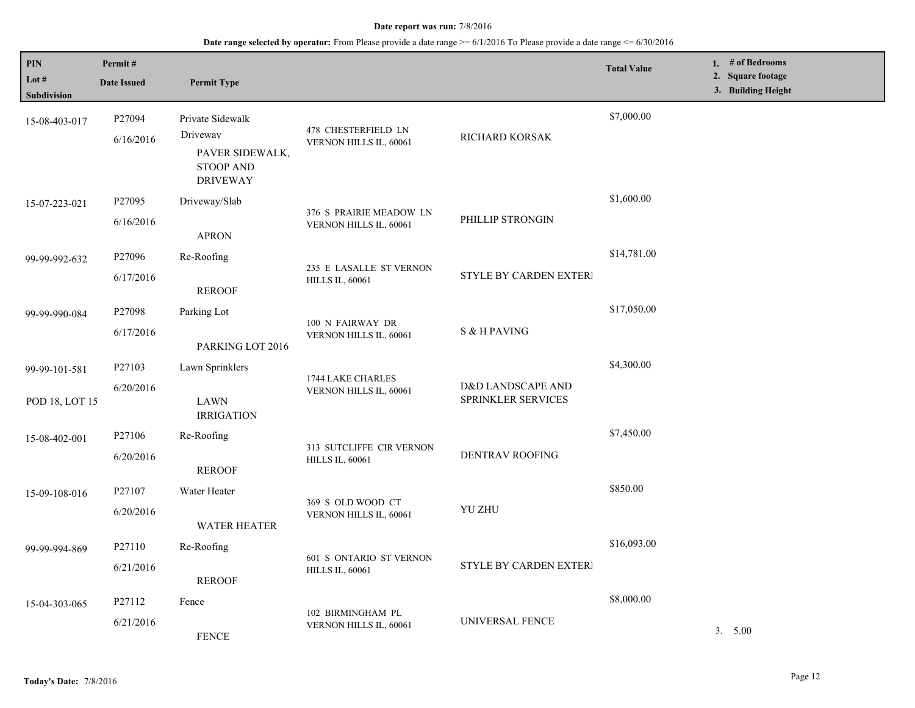| PIN<br>Lot $#$<br>Subdivision   | Permit#<br><b>Date Issued</b>   | <b>Permit Type</b>                                                                     |                                                    |                                                | <b>Total Value</b> | 1. $#$ of Bedrooms<br>2. Square footage<br>3. Building Height |
|---------------------------------|---------------------------------|----------------------------------------------------------------------------------------|----------------------------------------------------|------------------------------------------------|--------------------|---------------------------------------------------------------|
| 15-08-403-017                   | P27094<br>6/16/2016             | Private Sidewalk<br>Driveway<br>PAVER SIDEWALK,<br><b>STOOP AND</b><br><b>DRIVEWAY</b> | 478 CHESTERFIELD LN<br>VERNON HILLS IL, 60061      | RICHARD KORSAK                                 | \$7,000.00         |                                                               |
| 15-07-223-021                   | P27095<br>6/16/2016             | Driveway/Slab<br><b>APRON</b>                                                          | 376 S PRAIRIE MEADOW LN<br>VERNON HILLS IL, 60061  | PHILLIP STRONGIN                               | \$1,600.00         |                                                               |
| 99-99-992-632                   | P27096<br>6/17/2016             | Re-Roofing<br><b>REROOF</b>                                                            | 235 E LASALLE ST VERNON<br><b>HILLS IL, 60061</b>  | <b>STYLE BY CARDEN EXTERI</b>                  | \$14,781.00        |                                                               |
| 99-99-990-084                   | P27098<br>6/17/2016             | Parking Lot<br>PARKING LOT 2016                                                        | 100 N FAIRWAY DR<br>VERNON HILLS IL, 60061         | S & H PAVING                                   | \$17,050.00        |                                                               |
| 99-99-101-581<br>POD 18, LOT 15 | P27103<br>6/20/2016             | Lawn Sprinklers<br>LAWN<br><b>IRRIGATION</b>                                           | 1744 LAKE CHARLES<br>VERNON HILLS IL, 60061        | D&D LANDSCAPE AND<br><b>SPRINKLER SERVICES</b> | \$4,300.00         |                                                               |
| 15-08-402-001                   | P <sub>27106</sub><br>6/20/2016 | Re-Roofing<br><b>REROOF</b>                                                            | 313 SUTCLIFFE CIR VERNON<br><b>HILLS IL, 60061</b> | DENTRAV ROOFING                                | \$7,450.00         |                                                               |
| 15-09-108-016                   | P27107<br>6/20/2016             | Water Heater<br><b>WATER HEATER</b>                                                    | 369 S OLD WOOD CT<br>VERNON HILLS IL, 60061        | <b>YU ZHU</b>                                  | \$850.00           |                                                               |
| 99-99-994-869                   | P27110<br>6/21/2016             | Re-Roofing<br><b>REROOF</b>                                                            | 601 S ONTARIO ST VERNON<br><b>HILLS IL, 60061</b>  | <b>STYLE BY CARDEN EXTERI</b>                  | \$16,093.00        |                                                               |
| 15-04-303-065                   | P27112<br>6/21/2016             | Fence<br><b>FENCE</b>                                                                  | 102 BIRMINGHAM PL<br>VERNON HILLS IL, 60061        | UNIVERSAL FENCE                                | \$8,000.00         | 3. 5.00                                                       |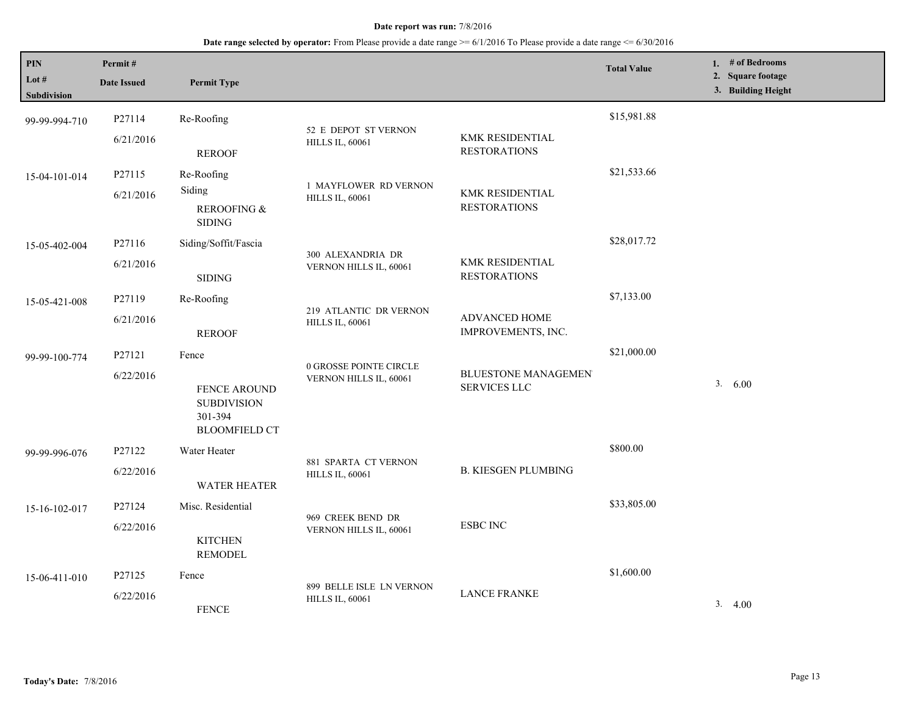| PIN<br>Lot $#$<br><b>Subdivision</b> | Permit#<br><b>Date Issued</b>                                                             | <b>Permit Type</b>                                |                                                    |                                               | <b>Total Value</b> | 1. $#$ of Bedrooms<br>2. Square footage<br>3. Building Height |
|--------------------------------------|-------------------------------------------------------------------------------------------|---------------------------------------------------|----------------------------------------------------|-----------------------------------------------|--------------------|---------------------------------------------------------------|
| 99-99-994-710                        | P27114<br>6/21/2016                                                                       | Re-Roofing                                        | 52 E DEPOT ST VERNON                               | KMK RESIDENTIAL                               | \$15,981.88        |                                                               |
|                                      |                                                                                           | <b>REROOF</b>                                     | <b>HILLS IL, 60061</b>                             | <b>RESTORATIONS</b>                           |                    |                                                               |
| 15-04-101-014                        | P27115                                                                                    | Re-Roofing                                        | 1 MAYFLOWER RD VERNON                              |                                               | \$21,533.66        |                                                               |
|                                      | 6/21/2016                                                                                 | Siding<br><b>REROOFING &amp;</b><br><b>SIDING</b> | <b>HILLS IL, 60061</b>                             | KMK RESIDENTIAL<br><b>RESTORATIONS</b>        |                    |                                                               |
| 15-05-402-004                        | P27116                                                                                    | Siding/Soffit/Fascia                              |                                                    |                                               | \$28,017.72        |                                                               |
|                                      | 6/21/2016                                                                                 | <b>SIDING</b>                                     | 300 ALEXANDRIA DR<br>VERNON HILLS IL, 60061        | <b>KMK RESIDENTIAL</b><br><b>RESTORATIONS</b> |                    |                                                               |
| 15-05-421-008                        | P27119                                                                                    | Re-Roofing                                        | 219 ATLANTIC DR VERNON                             | ADVANCED HOME<br>IMPROVEMENTS, INC.           | \$7,133.00         |                                                               |
|                                      | 6/21/2016                                                                                 | <b>REROOF</b>                                     | <b>HILLS IL, 60061</b>                             |                                               |                    |                                                               |
| 99-99-100-774                        | P27121                                                                                    | Fence                                             | 0 GROSSE POINTE CIRCLE                             |                                               | \$21,000.00        |                                                               |
|                                      | 6/22/2016<br><b>FENCE AROUND</b><br><b>SUBDIVISION</b><br>301-394<br><b>BLOOMFIELD CT</b> | VERNON HILLS IL, 60061                            | <b>BLUESTONE MANAGEMEN</b><br><b>SERVICES LLC</b>  |                                               | 3. 6.00            |                                                               |
| 99-99-996-076                        | P27122                                                                                    | Water Heater                                      |                                                    |                                               | \$800.00           |                                                               |
|                                      | 6/22/2016                                                                                 | WATER HEATER                                      | 881 SPARTA CT VERNON<br><b>HILLS IL, 60061</b>     | <b>B. KIESGEN PLUMBING</b>                    |                    |                                                               |
| 15-16-102-017                        | P27124                                                                                    | Misc. Residential                                 |                                                    | <b>ESBC INC</b>                               | \$33,805.00        |                                                               |
|                                      | 6/22/2016                                                                                 | <b>KITCHEN</b><br><b>REMODEL</b>                  | 969 CREEK BEND DR<br>VERNON HILLS IL, 60061        |                                               |                    |                                                               |
| 15-06-411-010                        | P <sub>27125</sub>                                                                        | Fence                                             |                                                    |                                               | \$1,600.00         |                                                               |
|                                      | 6/22/2016                                                                                 | <b>FENCE</b>                                      | 899 BELLE ISLE LN VERNON<br><b>HILLS IL, 60061</b> | <b>LANCE FRANKE</b>                           |                    | 3.4.00                                                        |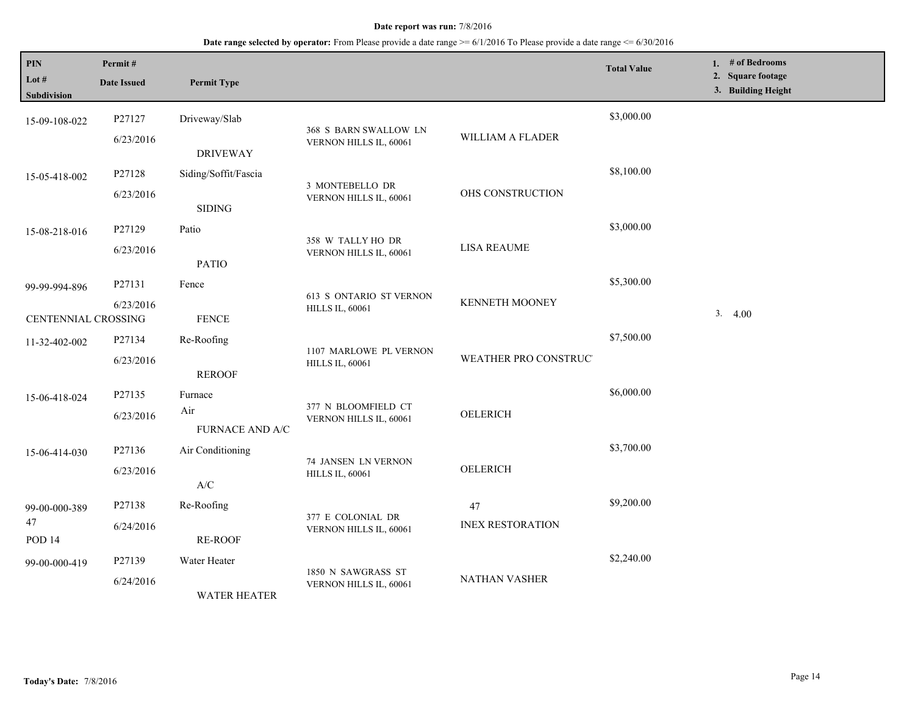| <b>PIN</b><br>Lot #<br>Subdivision   | Permit#<br><b>Date Issued</b> | <b>Permit Type</b>                       |                                                          |                               | <b>Total Value</b> | 1. # of Bedrooms<br>2. Square footage<br>3. Building Height |
|--------------------------------------|-------------------------------|------------------------------------------|----------------------------------------------------------|-------------------------------|--------------------|-------------------------------------------------------------|
| 15-09-108-022                        | P27127<br>6/23/2016           | Driveway/Slab<br><b>DRIVEWAY</b>         | 368 S BARN SWALLOW LN<br>VERNON HILLS IL, 60061          | WILLIAM A FLADER              | \$3,000.00         |                                                             |
| 15-05-418-002                        | P27128<br>6/23/2016           | Siding/Soffit/Fascia<br><b>SIDING</b>    | 3 MONTEBELLO DR<br>VERNON HILLS IL, 60061                | OHS CONSTRUCTION              | \$8,100.00         |                                                             |
| 15-08-218-016                        | P27129<br>6/23/2016           | Patio<br><b>PATIO</b>                    | 358 W TALLY HO DR<br>VERNON HILLS IL, 60061              | <b>LISA REAUME</b>            | \$3,000.00         |                                                             |
| 99-99-994-896<br>CENTENNIAL CROSSING | P27131<br>6/23/2016           | Fence<br><b>FENCE</b>                    | <b>613 S ONTARIO ST VERNON</b><br><b>HILLS IL, 60061</b> | <b>KENNETH MOONEY</b>         | \$5,300.00         | 3.4.00                                                      |
| 11-32-402-002                        | P27134<br>6/23/2016           | Re-Roofing<br><b>REROOF</b>              | 1107 MARLOWE PL VERNON<br><b>HILLS IL, 60061</b>         | WEATHER PRO CONSTRUC'         | \$7,500.00         |                                                             |
| 15-06-418-024                        | P27135<br>6/23/2016           | Furnace<br>Air<br><b>FURNACE AND A/C</b> | 377 N BLOOMFIELD CT<br>VERNON HILLS IL, 60061            | OELERICH                      | \$6,000.00         |                                                             |
| 15-06-414-030                        | P27136<br>6/23/2016           | Air Conditioning<br>A/C                  | 74 JANSEN LN VERNON<br><b>HILLS IL, 60061</b>            | <b>OELERICH</b>               | \$3,700.00         |                                                             |
| 99-00-000-389<br>47<br><b>POD 14</b> | P27138<br>6/24/2016           | Re-Roofing<br>RE-ROOF                    | 377 E COLONIAL DR<br>VERNON HILLS IL, 60061              | 47<br><b>INEX RESTORATION</b> | \$9,200.00         |                                                             |
| 99-00-000-419                        | P27139<br>6/24/2016           | Water Heater<br><b>WATER HEATER</b>      | 1850 N SAWGRASS ST<br>VERNON HILLS IL, 60061             | <b>NATHAN VASHER</b>          | \$2,240.00         |                                                             |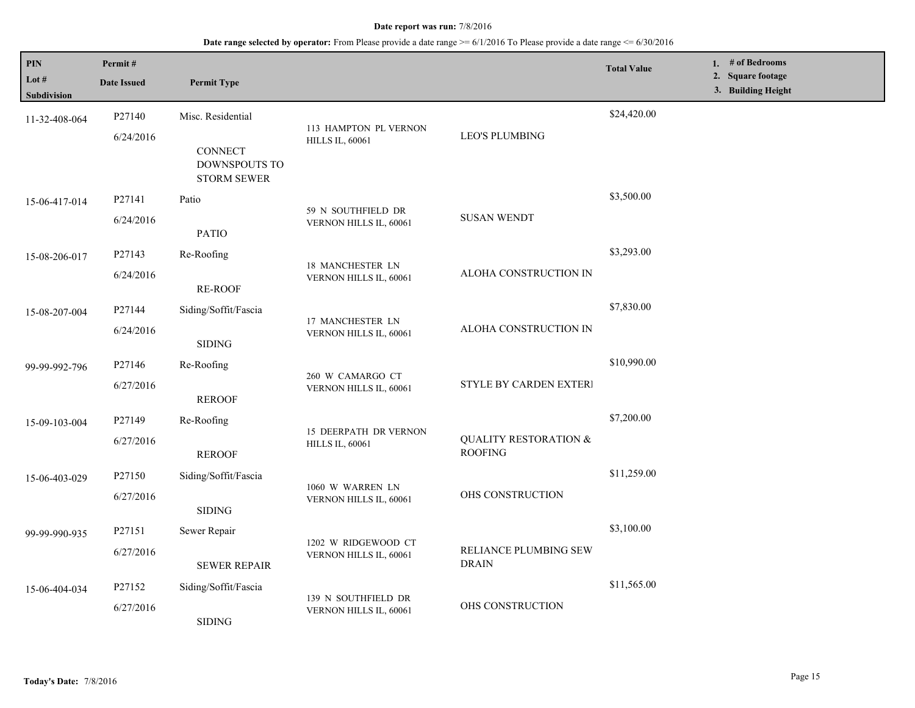| PIN<br>Lot #<br>Subdivision | Permit#<br><b>Date Issued</b> | <b>Permit Type</b>                                    |                                                        |                                                    | <b>Total Value</b> | 1. # of Bedrooms<br>2. Square footage<br>3. Building Height |
|-----------------------------|-------------------------------|-------------------------------------------------------|--------------------------------------------------------|----------------------------------------------------|--------------------|-------------------------------------------------------------|
| 11-32-408-064               | P27140<br>6/24/2016           | Misc. Residential                                     | 113 HAMPTON PL VERNON<br><b>HILLS IL, 60061</b>        | <b>LEO'S PLUMBING</b>                              | \$24,420.00        |                                                             |
|                             |                               | <b>CONNECT</b><br>DOWNSPOUTS TO<br><b>STORM SEWER</b> |                                                        |                                                    |                    |                                                             |
| 15-06-417-014               | P27141                        | Patio                                                 |                                                        | <b>SUSAN WENDT</b>                                 | \$3,500.00         |                                                             |
|                             | 6/24/2016                     | <b>PATIO</b>                                          | 59 N SOUTHFIELD DR<br>VERNON HILLS IL, 60061           |                                                    |                    |                                                             |
| 15-08-206-017               | P27143                        | Re-Roofing                                            |                                                        |                                                    | \$3,293.00         |                                                             |
|                             | 6/24/2016                     | <b>RE-ROOF</b>                                        | <b>18 MANCHESTER LN</b><br>VERNON HILLS IL, 60061      | ALOHA CONSTRUCTION IN                              |                    |                                                             |
| 15-08-207-004               | P27144                        | Siding/Soffit/Fascia                                  |                                                        | ALOHA CONSTRUCTION IN                              | \$7,830.00         |                                                             |
|                             | 6/24/2016                     | <b>SIDING</b>                                         | 17 MANCHESTER LN<br>VERNON HILLS IL, 60061             |                                                    |                    |                                                             |
| 99-99-992-796               | P27146                        | Re-Roofing                                            | 260 W CAMARGO CT<br>VERNON HILLS IL, 60061             | <b>STYLE BY CARDEN EXTERI</b>                      | \$10,990.00        |                                                             |
|                             | 6/27/2016                     | <b>REROOF</b>                                         |                                                        |                                                    |                    |                                                             |
| 15-09-103-004               | P27149                        | Re-Roofing                                            | <b>15 DEERPATH DR VERNON</b><br><b>HILLS IL, 60061</b> |                                                    | \$7,200.00         |                                                             |
|                             | 6/27/2016                     | <b>REROOF</b>                                         |                                                        | <b>QUALITY RESTORATION &amp;</b><br><b>ROOFING</b> |                    |                                                             |
| 15-06-403-029               | P27150                        | Siding/Soffit/Fascia                                  |                                                        | OHS CONSTRUCTION                                   | \$11,259.00        |                                                             |
|                             | 6/27/2016                     | <b>SIDING</b>                                         | 1060 W WARREN LN<br>VERNON HILLS IL, 60061             |                                                    |                    |                                                             |
| 99-99-990-935               | P27151                        | Sewer Repair                                          | 1202 W RIDGEWOOD CT                                    | RELIANCE PLUMBING SEW<br><b>DRAIN</b>              | \$3,100.00         |                                                             |
|                             | 6/27/2016                     | <b>SEWER REPAIR</b>                                   | VERNON HILLS IL, 60061                                 |                                                    |                    |                                                             |
| 15-06-404-034               | P27152                        | Siding/Soffit/Fascia                                  |                                                        | OHS CONSTRUCTION                                   | \$11,565.00        |                                                             |
|                             | 6/27/2016                     | <b>SIDING</b>                                         | 139 N SOUTHFIELD DR<br>VERNON HILLS IL, 60061          |                                                    |                    |                                                             |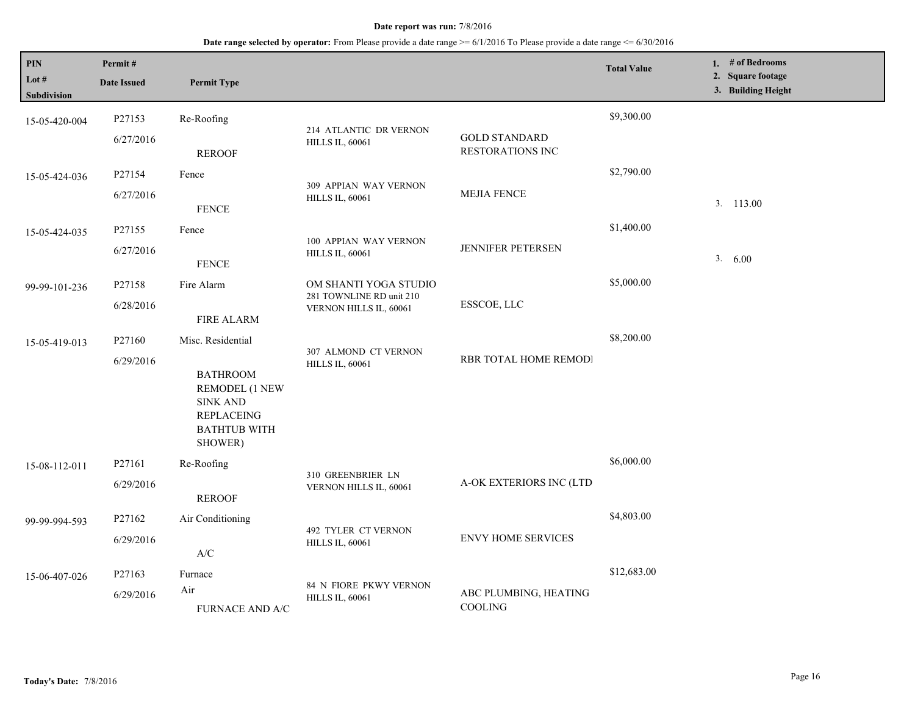| <b>PIN</b><br>Lot $#$<br>Subdivision | Permit#<br><b>Date Issued</b>   | <b>Permit Type</b>                                                                                                               |                                                                             |                                                 | <b>Total Value</b> | 1. # of Bedrooms<br>2. Square footage<br>3. Building Height |
|--------------------------------------|---------------------------------|----------------------------------------------------------------------------------------------------------------------------------|-----------------------------------------------------------------------------|-------------------------------------------------|--------------------|-------------------------------------------------------------|
| 15-05-420-004                        | P27153<br>6/27/2016             | Re-Roofing<br><b>REROOF</b>                                                                                                      | 214 ATLANTIC DR VERNON<br><b>HILLS IL, 60061</b>                            | <b>GOLD STANDARD</b><br><b>RESTORATIONS INC</b> | \$9,300.00         |                                                             |
| 15-05-424-036                        | P27154<br>6/27/2016             | Fence<br><b>FENCE</b>                                                                                                            | 309 APPIAN WAY VERNON<br><b>HILLS IL, 60061</b>                             | <b>MEJIA FENCE</b>                              | \$2,790.00         | 3. 113.00                                                   |
| 15-05-424-035                        | P27155<br>6/27/2016             | Fence<br><b>FENCE</b>                                                                                                            | 100 APPIAN WAY VERNON<br><b>HILLS IL, 60061</b>                             | <b>JENNIFER PETERSEN</b>                        | \$1,400.00         | 3. 6.00                                                     |
| 99-99-101-236                        | P27158<br>6/28/2016             | Fire Alarm<br><b>FIRE ALARM</b>                                                                                                  | OM SHANTI YOGA STUDIO<br>281 TOWNLINE RD unit 210<br>VERNON HILLS IL, 60061 | ESSCOE, LLC                                     | \$5,000.00         |                                                             |
| 15-05-419-013                        | P27160<br>6/29/2016             | Misc. Residential<br><b>BATHROOM</b><br>REMODEL (1 NEW<br><b>SINK AND</b><br><b>REPLACEING</b><br><b>BATHTUB WITH</b><br>SHOWER) | 307 ALMOND CT VERNON<br><b>HILLS IL, 60061</b>                              | RBR TOTAL HOME REMODI                           | \$8,200.00         |                                                             |
| 15-08-112-011                        | P <sub>27161</sub><br>6/29/2016 | Re-Roofing<br><b>REROOF</b>                                                                                                      | 310 GREENBRIER LN<br>VERNON HILLS IL, 60061                                 | A-OK EXTERIORS INC (LTD                         | \$6,000.00         |                                                             |
| 99-99-994-593                        | P27162<br>6/29/2016             | Air Conditioning<br>$\ensuremath{\mathsf{A}}\xspace/\ensuremath{\mathsf{C}}\xspace$                                              | 492 TYLER CT VERNON<br><b>HILLS IL, 60061</b>                               | <b>ENVY HOME SERVICES</b>                       | \$4,803.00         |                                                             |
| 15-06-407-026                        | P27163<br>6/29/2016             | Furnace<br>Air<br>FURNACE AND A/C                                                                                                | 84 N FIORE PKWY VERNON<br><b>HILLS IL, 60061</b>                            | ABC PLUMBING, HEATING<br>COOLING                | \$12,683.00        |                                                             |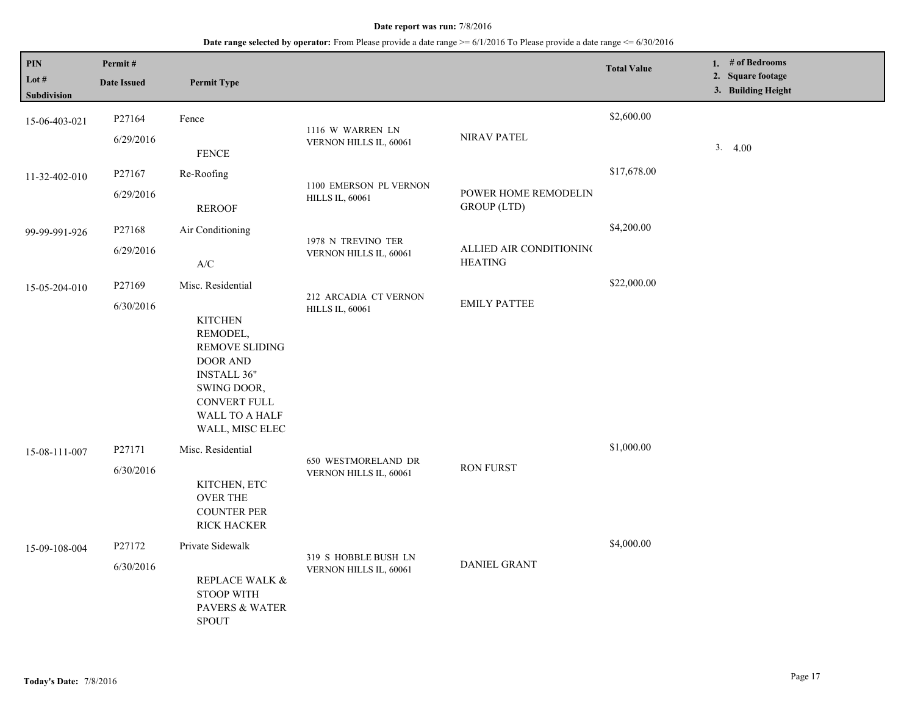| $\mathbf{PIN}$<br>Lot #<br>Subdivision | Permit#<br><b>Date Issued</b> | <b>Permit Type</b>                                                                                                                                                                           |                                                  |                                            | <b>Total Value</b> | 1. # of Bedrooms<br>2. Square footage<br>3. Building Height |
|----------------------------------------|-------------------------------|----------------------------------------------------------------------------------------------------------------------------------------------------------------------------------------------|--------------------------------------------------|--------------------------------------------|--------------------|-------------------------------------------------------------|
| 15-06-403-021                          | P27164<br>6/29/2016           | Fence<br>${\tt FENCE}$                                                                                                                                                                       | 1116 W WARREN LN<br>VERNON HILLS IL, 60061       | NIRAV PATEL                                | \$2,600.00         | 3.4.00                                                      |
| 11-32-402-010                          | P27167<br>6/29/2016           | Re-Roofing<br><b>REROOF</b>                                                                                                                                                                  | 1100 EMERSON PL VERNON<br><b>HILLS IL, 60061</b> | POWER HOME REMODELIN<br><b>GROUP</b> (LTD) | \$17,678.00        |                                                             |
| 99-99-991-926                          | P27168<br>6/29/2016           | Air Conditioning<br>$\ensuremath{\text{A}}\xspace/\ensuremath{\text{C}}\xspace$                                                                                                              | 1978 N TREVINO TER<br>VERNON HILLS IL, 60061     | ALLIED AIR CONDITIONING<br><b>HEATING</b>  | \$4,200.00         |                                                             |
| 15-05-204-010                          | P27169<br>6/30/2016           | Misc. Residential<br><b>KITCHEN</b><br>REMODEL,<br><b>REMOVE SLIDING</b><br><b>DOOR AND</b><br><b>INSTALL 36"</b><br>SWING DOOR,<br><b>CONVERT FULL</b><br>WALL TO A HALF<br>WALL, MISC ELEC | 212 ARCADIA CT VERNON<br><b>HILLS IL, 60061</b>  | <b>EMILY PATTEE</b>                        | \$22,000.00        |                                                             |
| 15-08-111-007                          | P27171<br>6/30/2016           | Misc. Residential<br>KITCHEN, ETC<br><b>OVER THE</b><br><b>COUNTER PER</b><br><b>RICK HACKER</b>                                                                                             | 650 WESTMORELAND DR<br>VERNON HILLS IL, 60061    | <b>RON FURST</b>                           | \$1,000.00         |                                                             |
| 15-09-108-004                          | P27172<br>6/30/2016           | Private Sidewalk<br>REPLACE WALK &<br><b>STOOP WITH</b><br><b>PAVERS &amp; WATER</b><br><b>SPOUT</b>                                                                                         | 319 S HOBBLE BUSH LN<br>VERNON HILLS IL, 60061   | <b>DANIEL GRANT</b>                        | \$4,000.00         |                                                             |